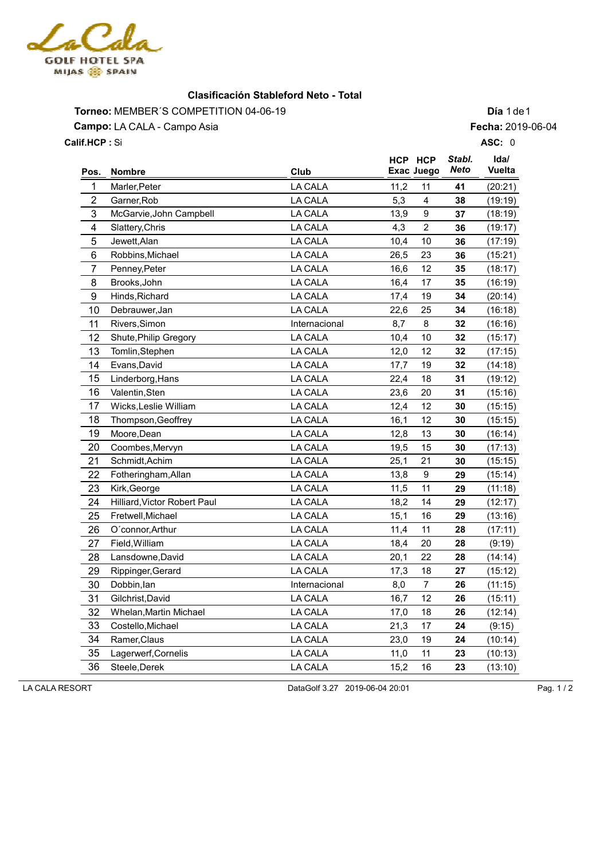

## **Clasificación Stableford Neto - Total**

Torneo: MEMBER'S COMPETITION 04-06-19 **Día** 1 de1 **Campo:** LA CALA - Campo Asia Si **Calif.HCP : ASC:** 0

**Fecha:** 2019-06-04

|                         |                              |                |      | HCP HCP        | Stabl. | Ida/    |
|-------------------------|------------------------------|----------------|------|----------------|--------|---------|
| Pos.                    | <b>Nombre</b>                | Club           |      | Exac Juego     | Neto   | Vuelta  |
| 1                       | Marler, Peter                | LA CALA        | 11,2 | 11             | 41     | (20:21) |
| $\overline{2}$          | Garner, Rob                  | <b>LA CALA</b> | 5,3  | 4              | 38     | (19:19) |
| 3                       | McGarvie, John Campbell      | <b>LA CALA</b> | 13,9 | 9              | 37     | (18:19) |
| $\overline{\mathbf{4}}$ | Slattery, Chris              | <b>LA CALA</b> | 4,3  | $\overline{2}$ | 36     | (19:17) |
| 5                       | Jewett, Alan                 | <b>LA CALA</b> | 10,4 | 10             | 36     | (17:19) |
| 6                       | Robbins, Michael             | <b>LA CALA</b> | 26,5 | 23             | 36     | (15:21) |
| $\overline{7}$          | Penney, Peter                | LA CALA        | 16,6 | 12             | 35     | (18:17) |
| 8                       | Brooks, John                 | <b>LA CALA</b> | 16,4 | 17             | 35     | (16:19) |
| 9                       | Hinds, Richard               | LA CALA        | 17,4 | 19             | 34     | (20:14) |
| 10                      | Debrauwer, Jan               | <b>LA CALA</b> | 22,6 | 25             | 34     | (16:18) |
| 11                      | Rivers, Simon                | Internacional  | 8,7  | 8              | 32     | (16:16) |
| 12                      | Shute, Philip Gregory        | LA CALA        | 10,4 | 10             | 32     | (15:17) |
| 13                      | Tomlin, Stephen              | LA CALA        | 12,0 | 12             | 32     | (17:15) |
| 14                      | Evans, David                 | LA CALA        | 17,7 | 19             | 32     | (14:18) |
| 15                      | Linderborg, Hans             | LA CALA        | 22,4 | 18             | 31     | (19:12) |
| 16                      | Valentin, Sten               | <b>LA CALA</b> | 23,6 | 20             | 31     | (15:16) |
| 17                      | Wicks, Leslie William        | <b>LA CALA</b> | 12,4 | 12             | 30     | (15:15) |
| 18                      | Thompson, Geoffrey           | <b>LA CALA</b> | 16,1 | 12             | 30     | (15:15) |
| 19                      | Moore, Dean                  | <b>LA CALA</b> | 12,8 | 13             | 30     | (16:14) |
| 20                      | Coombes, Mervyn              | <b>LA CALA</b> | 19,5 | 15             | 30     | (17:13) |
| 21                      | Schmidt, Achim               | <b>LA CALA</b> | 25,1 | 21             | 30     | (15:15) |
| 22                      | Fotheringham, Allan          | <b>LA CALA</b> | 13,8 | 9              | 29     | (15:14) |
| 23                      | Kirk, George                 | <b>LA CALA</b> | 11,5 | 11             | 29     | (11:18) |
| 24                      | Hilliard, Victor Robert Paul | <b>LA CALA</b> | 18,2 | 14             | 29     | (12:17) |
| 25                      | Fretwell, Michael            | <b>LA CALA</b> | 15,1 | 16             | 29     | (13:16) |
| 26                      | O'connor, Arthur             | <b>LA CALA</b> | 11,4 | 11             | 28     | (17:11) |
| 27                      | Field, William               | <b>LA CALA</b> | 18,4 | 20             | 28     | (9:19)  |
| 28                      | Lansdowne, David             | <b>LA CALA</b> | 20,1 | 22             | 28     | (14:14) |
| 29                      | Rippinger, Gerard            | LA CALA        | 17,3 | 18             | 27     | (15:12) |
| 30                      | Dobbin, lan                  | Internacional  | 8,0  | $\overline{7}$ | 26     | (11:15) |
| 31                      | Gilchrist, David             | LA CALA        | 16,7 | 12             | 26     | (15:11) |
| 32                      | Whelan, Martin Michael       | <b>LA CALA</b> | 17,0 | 18             | 26     | (12:14) |
| 33                      | Costello, Michael            | <b>LA CALA</b> | 21,3 | 17             | 24     | (9:15)  |
| 34                      | Ramer, Claus                 | <b>LA CALA</b> | 23,0 | 19             | 24     | (10:14) |
| 35                      | Lagerwerf, Cornelis          | LA CALA        | 11,0 | 11             | 23     | (10:13) |
| 36                      | Steele, Derek                | LA CALA        | 15,2 | 16             | 23     | (13:10) |
|                         |                              |                |      |                |        |         |

LA CALA RESORT Pag. 1/2